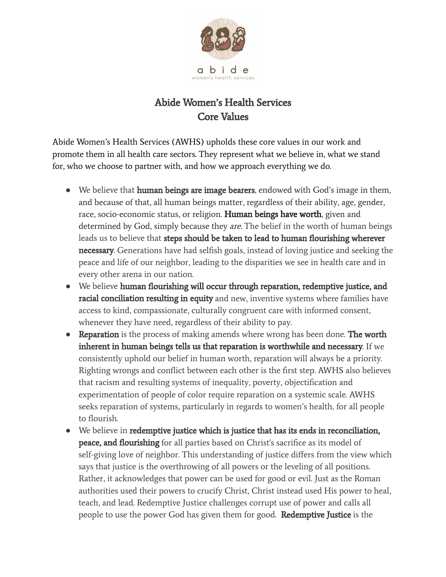

## Abide Women's Health Services Core Values

Abide Women's Health Services (AWHS) upholds these core values in our work and promote them in all health care sectors. They represent what we believe in, what we stand for, who we choose to partner with, and how we approach everything we do.

- We believe that **human beings are image bearers**, endowed with God's image in them, and because of that, all human beings matter, regardless of their ability, age, gender, race, socio-economic status, or religion. **Human beings have worth**, given and determined by God, simply because they *are*. The belief in the worth of human beings leads us to believe that steps should be taken to lead to human flourishing wherever necessary. Generations have had selfish goals, instead of loving justice and seeking the peace and life of our neighbor, leading to the disparities we see in health care and in every other arena in our nation.
- We believe human flourishing will occur through reparation, redemptive justice, and racial conciliation resulting in equity and new, inventive systems where families have access to kind, compassionate, culturally congruent care with informed consent, whenever they have need, regardless of their ability to pay.
- Reparation is the process of making amends where wrong has been done. The worth inherent in human beings tells us that reparation is worthwhile and necessary. If we consistently uphold our belief in human worth, reparation will always be a priority. Righting wrongs and conflict between each other is the first step. AWHS also believes that racism and resulting systems of inequality, poverty, objectification and experimentation of people of color require reparation on a systemic scale. AWHS seeks reparation of systems, particularly in regards to women's health, for all people to flourish.
- We believe in redemptive justice which is justice that has its ends in reconciliation, peace, and flourishing for all parties based on Christ's sacrifice as its model of self-giving love of neighbor. This understanding of justice differs from the view which says that justice is the overthrowing of all powers or the leveling of all positions. Rather, it acknowledges that power can be used for good or evil. Just as the Roman authorities used their powers to crucify Christ, Christ instead used His power to heal, teach, and lead. Redemptive Justice challenges corrupt use of power and calls all people to use the power God has given them for good. **Redemptive Justice** is the